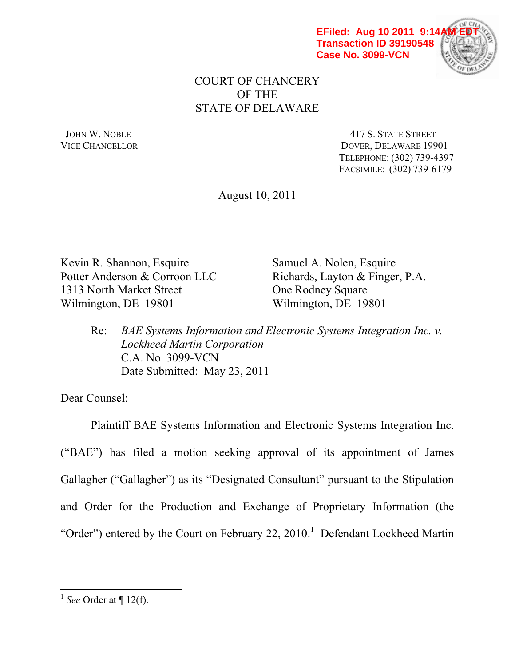



## COURT OF CHANCERY OF THE STATE OF DELAWARE

JOHN W. NOBLE 417 S. STATE STREET VICE CHANCELLOR DOVER, DELAWARE 19901 TELEPHONE: (302) 739-4397 FACSIMILE: (302) 739-6179

August 10, 2011

Kevin R. Shannon, Esquire Samuel A. Nolen, Esquire Potter Anderson & Corroon LLC<br>Richards, Layton & Finger, P.A. 1313 North Market Street **One Rodney Square** Wilmington, DE 19801 Wilmington, DE 19801

 Re: *BAE Systems Information and Electronic Systems Integration Inc. v. Lockheed Martin Corporation* C.A. No. 3099-VCN Date Submitted: May 23, 2011

Dear Counsel:

 Plaintiff BAE Systems Information and Electronic Systems Integration Inc. ("BAE") has filed a motion seeking approval of its appointment of James Gallagher ("Gallagher") as its "Designated Consultant" pursuant to the Stipulation and Order for the Production and Exchange of Proprietary Information (the "Order") entered by the Court on February 22, 2010.<sup>1</sup> Defendant Lockheed Martin

<sup>1</sup> *See* Order at ¶ 12(f).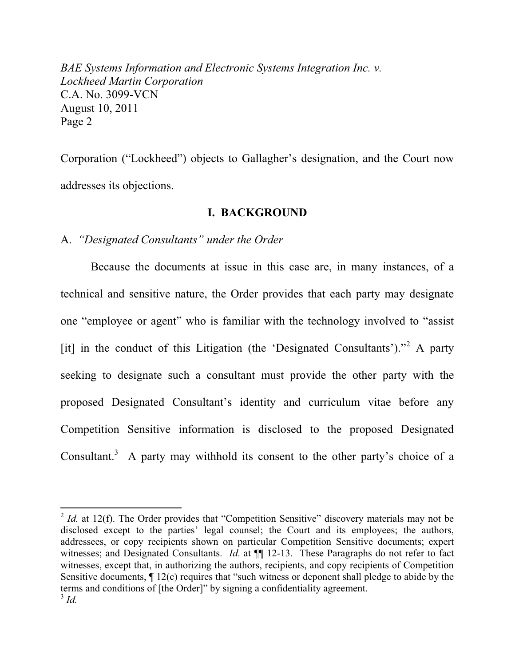Corporation ("Lockheed") objects to Gallagher's designation, and the Court now addresses its objections.

## **I. BACKGROUND**

A. *"Designated Consultants" under the Order* 

 $\overline{a}$ 

 Because the documents at issue in this case are, in many instances, of a technical and sensitive nature, the Order provides that each party may designate one "employee or agent" who is familiar with the technology involved to "assist" [it] in the conduct of this Litigation (the 'Designated Consultants')."<sup>2</sup> A party seeking to designate such a consultant must provide the other party with the proposed Designated Consultant's identity and curriculum vitae before any Competition Sensitive information is disclosed to the proposed Designated Consultant.<sup>3</sup> A party may withhold its consent to the other party's choice of a

 $2$  *Id.* at 12(f). The Order provides that "Competition Sensitive" discovery materials may not be disclosed except to the parties' legal counsel; the Court and its employees; the authors, addressees, or copy recipients shown on particular Competition Sensitive documents; expert witnesses; and Designated Consultants. *Id.* at  $\P$  12-13. These Paragraphs do not refer to fact witnesses, except that, in authorizing the authors, recipients, and copy recipients of Competition Sensitive documents,  $\P$  12(c) requires that "such witness or deponent shall pledge to abide by the terms and conditions of [the Order]" by signing a confidentiality agreement. <sup>3</sup> *Id.*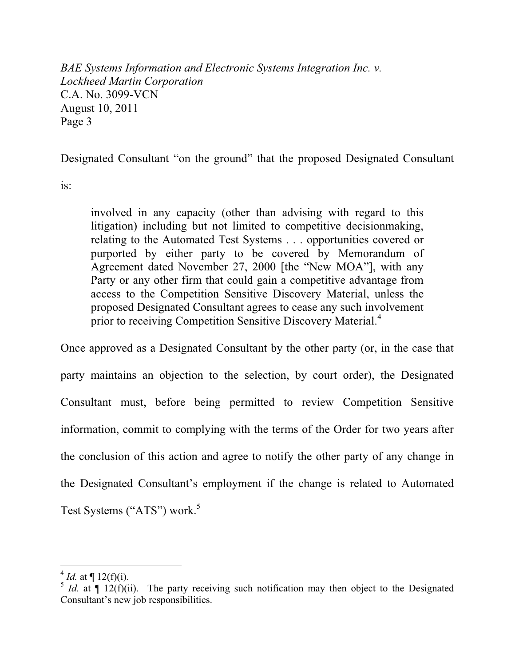Designated Consultant "on the ground" that the proposed Designated Consultant

is:

involved in any capacity (other than advising with regard to this litigation) including but not limited to competitive decisionmaking, relating to the Automated Test Systems . . . opportunities covered or purported by either party to be covered by Memorandum of Agreement dated November 27, 2000 [the "New MOA"], with any Party or any other firm that could gain a competitive advantage from access to the Competition Sensitive Discovery Material, unless the proposed Designated Consultant agrees to cease any such involvement prior to receiving Competition Sensitive Discovery Material.<sup>4</sup>

Once approved as a Designated Consultant by the other party (or, in the case that party maintains an objection to the selection, by court order), the Designated Consultant must, before being permitted to review Competition Sensitive information, commit to complying with the terms of the Order for two years after the conclusion of this action and agree to notify the other party of any change in the Designated Consultant's employment if the change is related to Automated Test Systems ("ATS") work.<sup>5</sup>

<sup>&</sup>lt;sup>4</sup> *Id.* at  $\P$  12(f)(i).

 $\frac{5}{1}$  *Id.* at  $\sqrt{12(f)(ii)}$ . The party receiving such notification may then object to the Designated Consultant's new job responsibilities.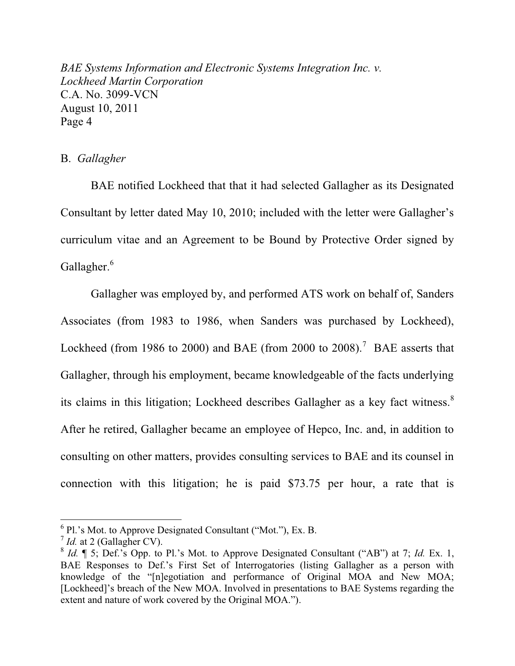## B. *Gallagher*

 BAE notified Lockheed that that it had selected Gallagher as its Designated Consultant by letter dated May 10, 2010; included with the letter were Gallagher's curriculum vitae and an Agreement to be Bound by Protective Order signed by Gallagher.<sup>6</sup>

Gallagher was employed by, and performed ATS work on behalf of, Sanders Associates (from 1983 to 1986, when Sanders was purchased by Lockheed), Lockheed (from 1986 to 2000) and BAE (from 2000 to 2008).<sup>7</sup> BAE asserts that Gallagher, through his employment, became knowledgeable of the facts underlying its claims in this litigation; Lockheed describes Gallagher as a key fact witness.<sup>8</sup> After he retired, Gallagher became an employee of Hepco, Inc. and, in addition to consulting on other matters, provides consulting services to BAE and its counsel in connection with this litigation; he is paid \$73.75 per hour, a rate that is

 $^6$  Pl.'s Mot. to Approve Designated Consultant ("Mot."), Ex. B.

 $<sup>7</sup>$  *Id.* at 2 (Gallagher CV).</sup>

 $8$  *Id.*  $\parallel$  5; Def.'s Opp. to Pl.'s Mot. to Approve Designated Consultant ("AB") at 7; *Id.* Ex. 1, BAE Responses to Def.'s First Set of Interrogatories (listing Gallagher as a person with knowledge of the "[n]egotiation and performance of Original MOA and New MOA; [Lockheed]'s breach of the New MOA. Involved in presentations to BAE Systems regarding the extent and nature of work covered by the Original MOA.").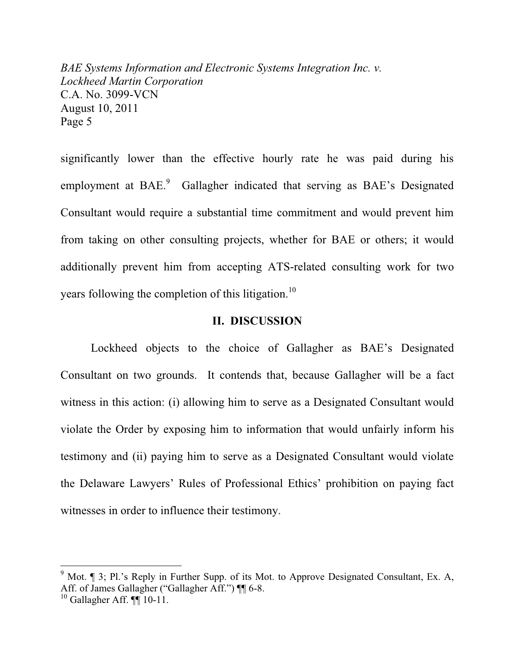significantly lower than the effective hourly rate he was paid during his employment at BAE.<sup>9</sup> Gallagher indicated that serving as BAE's Designated Consultant would require a substantial time commitment and would prevent him from taking on other consulting projects, whether for BAE or others; it would additionally prevent him from accepting ATS-related consulting work for two years following the completion of this litigation.<sup>10</sup>

### **II. DISCUSSION**

Lockheed objects to the choice of Gallagher as BAE's Designated Consultant on two grounds. It contends that, because Gallagher will be a fact witness in this action: (i) allowing him to serve as a Designated Consultant would violate the Order by exposing him to information that would unfairly inform his testimony and (ii) paying him to serve as a Designated Consultant would violate the Delaware Lawyers' Rules of Professional Ethics' prohibition on paying fact witnesses in order to influence their testimony.

 $9$  Mot. ¶ 3; Pl.'s Reply in Further Supp. of its Mot. to Approve Designated Consultant, Ex. A, Aff. of James Gallagher ("Gallagher Aff.") II 6-8.

 $10$  Gallagher Aff.  $\P\P$  10-11.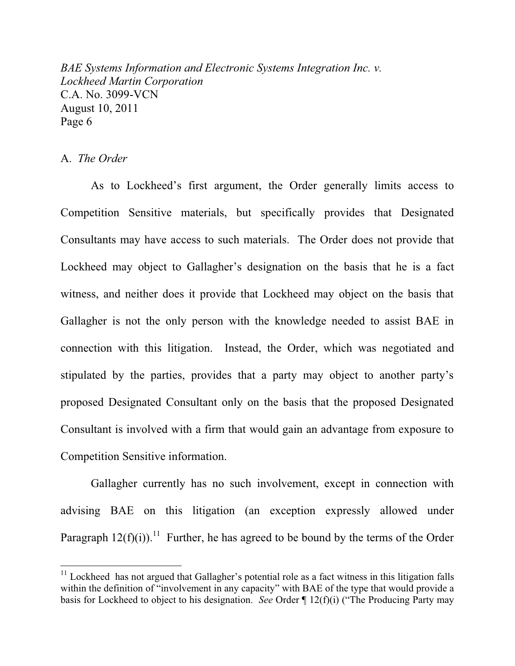## A. *The Order*

 $\overline{a}$ 

As to Lockheed's first argument, the Order generally limits access to Competition Sensitive materials, but specifically provides that Designated Consultants may have access to such materials. The Order does not provide that Lockheed may object to Gallagher's designation on the basis that he is a fact witness, and neither does it provide that Lockheed may object on the basis that Gallagher is not the only person with the knowledge needed to assist BAE in connection with this litigation. Instead, the Order, which was negotiated and stipulated by the parties, provides that a party may object to another party's proposed Designated Consultant only on the basis that the proposed Designated Consultant is involved with a firm that would gain an advantage from exposure to Competition Sensitive information.

Gallagher currently has no such involvement, except in connection with advising BAE on this litigation (an exception expressly allowed under Paragraph  $12(f)(i)$ .<sup>11</sup> Further, he has agreed to be bound by the terms of the Order

 $11$  Lockheed has not argued that Gallagher's potential role as a fact witness in this litigation falls within the definition of "involvement in any capacity" with BAE of the type that would provide a basis for Lockheed to object to his designation. *See* Order  $\P$  12(f)(i) ("The Producing Party may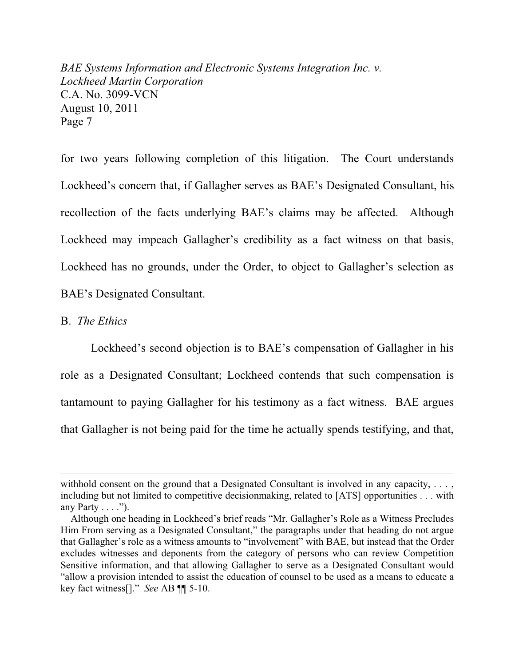for two years following completion of this litigation. The Court understands Lockheed's concern that, if Gallagher serves as BAE's Designated Consultant, his recollection of the facts underlying BAE's claims may be affected. Although Lockheed may impeach Gallagher's credibility as a fact witness on that basis, Lockheed has no grounds, under the Order, to object to Gallagher's selection as BAE's Designated Consultant.

#### B. *The Ethics*

 $\overline{a}$ 

Lockheed's second objection is to BAE's compensation of Gallagher in his role as a Designated Consultant; Lockheed contends that such compensation is tantamount to paying Gallagher for his testimony as a fact witness. BAE argues that Gallagher is not being paid for the time he actually spends testifying, and that,

withhold consent on the ground that a Designated Consultant is involved in any capacity, ..., including but not limited to competitive decisionmaking, related to [ATS] opportunities . . . with any Party  $\dots$ ").

Although one heading in Lockheed's brief reads "Mr. Gallagher's Role as a Witness Precludes Him From serving as a Designated Consultant," the paragraphs under that heading do not argue that Gallagher's role as a witness amounts to "involvement" with BAE, but instead that the Order excludes witnesses and deponents from the category of persons who can review Competition Sensitive information, and that allowing Gallagher to serve as a Designated Consultant would "allow a provision intended to assist the education of counsel to be used as a means to educate a key fact witness<sup>[]</sup>." See AB ¶¶ 5-10.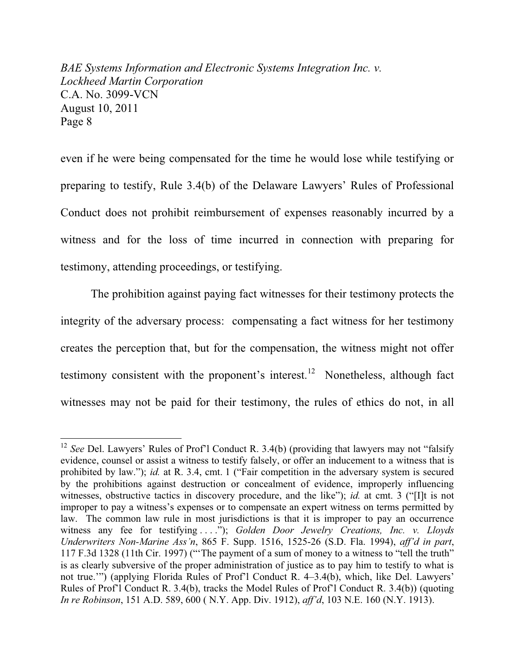even if he were being compensated for the time he would lose while testifying or preparing to testify, Rule 3.4(b) of the Delaware Lawyers' Rules of Professional Conduct does not prohibit reimbursement of expenses reasonably incurred by a witness and for the loss of time incurred in connection with preparing for testimony, attending proceedings, or testifying.

 The prohibition against paying fact witnesses for their testimony protects the integrity of the adversary process: compensating a fact witness for her testimony creates the perception that, but for the compensation, the witness might not offer testimony consistent with the proponent's interest.<sup>12</sup> Nonetheless, although fact witnesses may not be paid for their testimony, the rules of ethics do not, in all

<sup>&</sup>lt;sup>12</sup> See Del. Lawyers' Rules of Prof'l Conduct R. 3.4(b) (providing that lawyers may not "falsify evidence, counsel or assist a witness to testify falsely, or offer an inducement to a witness that is prohibited by law."); *id.* at R. 3.4, cmt. 1 ("Fair competition in the adversary system is secured by the prohibitions against destruction or concealment of evidence, improperly influencing witnesses, obstructive tactics in discovery procedure, and the like"); *id.* at cmt. 3 ("II) is not improper to pay a witness's expenses or to compensate an expert witness on terms permitted by law. The common law rule in most jurisdictions is that it is improper to pay an occurrence witness any fee for testifying ...."); Golden Door Jewelry Creations, Inc. v. Lloyds *Underwriters Non-Marine Ass'n, 865 F. Supp. 1516, 1525-26 (S.D. Fla. 1994), aff'd in part,* 117 F.3d 1328 (11th Cir. 1997) ("The payment of a sum of money to a witness to "tell the truth" is as clearly subversive of the proper administration of justice as to pay him to testify to what is not true."") (applying Florida Rules of Prof'l Conduct R. 4-3.4(b), which, like Del. Lawyers' Rules of Prof'l Conduct R. 3.4(b), tracks the Model Rules of Prof'l Conduct R. 3.4(b)) (quoting *In re Robinson*, 151 A.D. 589, 600 ( N.Y. App. Div. 1912), *aff'd*, 103 N.E. 160 (N.Y. 1913).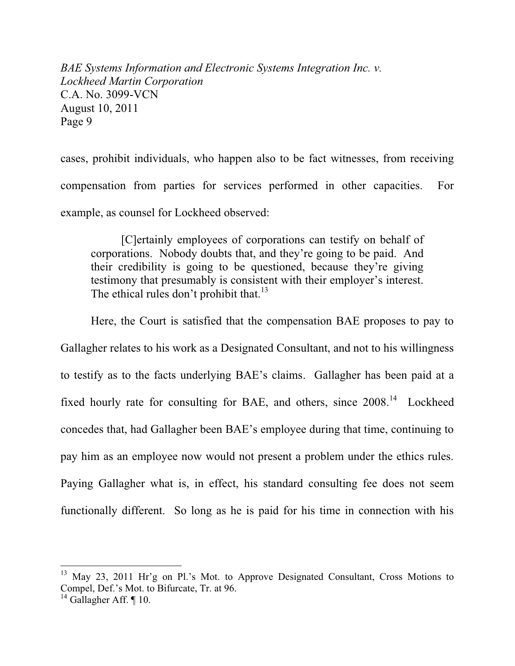cases, prohibit individuals, who happen also to be fact witnesses, from receiving compensation from parties for services performed in other capacities. For example, as counsel for Lockheed observed:

[C]ertainly employees of corporations can testify on behalf of corporations. Nobody doubts that, and they're going to be paid. And their credibility is going to be questioned, because they're giving testimony that presumably is consistent with their employer's interest. The ethical rules don't prohibit that.<sup>13</sup>

Here, the Court is satisfied that the compensation BAE proposes to pay to

Gallagher relates to his work as a Designated Consultant, and not to his willingness to testify as to the facts underlying BAE's claims. Gallagher has been paid at a fixed hourly rate for consulting for BAE, and others, since 2008.<sup>14</sup> Lockheed concedes that, had Gallagher been BAE's employee during that time, continuing to pay him as an employee now would not present a problem under the ethics rules. Paying Gallagher what is, in effect, his standard consulting fee does not seem functionally different. So long as he is paid for his time in connection with his

 $^{13}$  May 23, 2011 Hr'g on Pl.'s Mot. to Approve Designated Consultant, Cross Motions to Compel, Def.'s Mot. to Bifurcate, Tr. at 96.

 $14$  Gallagher Aff. ¶ 10.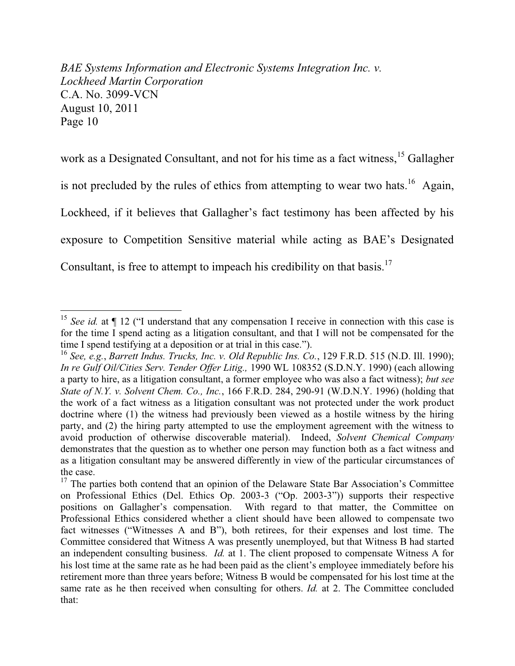work as a Designated Consultant, and not for his time as a fact witness,<sup>15</sup> Gallagher is not precluded by the rules of ethics from attempting to wear two hats.<sup>16</sup> Again, Lockheed, if it believes that Gallagher's fact testimony has been affected by his exposure to Competition Sensitive material while acting as BAE's Designated Consultant, is free to attempt to impeach his credibility on that basis.<sup>17</sup>

<sup>&</sup>lt;sup>15</sup> See id. at  $\P$  12 ("I understand that any compensation I receive in connection with this case is for the time I spend acting as a litigation consultant, and that I will not be compensated for the time I spend testifying at a deposition or at trial in this case.").<br><sup>16</sup> *See, e.g., Barrett Indus. Trucks, Inc. v. Old Republic Ins. Co.,* 129 F.R.D. 515 (N.D. Ill. 1990);

*In re Gulf Oil/Cities Serv. Tender Offer Litig.,* 1990 WL 108352 (S.D.N.Y. 1990) (each allowing a party to hire, as a litigation consultant, a former employee who was also a fact witness); *but see State of N.Y. v. Solvent Chem. Co., Inc.*, 166 F.R.D. 284, 290-91 (W.D.N.Y. 1996) (holding that the work of a fact witness as a litigation consultant was not protected under the work product doctrine where (1) the witness had previously been viewed as a hostile witness by the hiring party, and (2) the hiring party attempted to use the employment agreement with the witness to avoid production of otherwise discoverable material). Indeed, *Solvent Chemical Company* demonstrates that the question as to whether one person may function both as a fact witness and as a litigation consultant may be answered differently in view of the particular circumstances of the case.

 $17$  The parties both contend that an opinion of the Delaware State Bar Association's Committee on Professional Ethics (Del. Ethics Op. 2003-3 ("Op. 2003-3")) supports their respective positions on Gallagher's compensation. With regard to that matter, the Committee on Professional Ethics considered whether a client should have been allowed to compensate two fact witnesses ("Witnesses A and B"), both retirees, for their expenses and lost time. The Committee considered that Witness A was presently unemployed, but that Witness B had started an independent consulting business. *Id.* at 1. The client proposed to compensate Witness A for his lost time at the same rate as he had been paid as the client's employee immediately before his retirement more than three years before; Witness B would be compensated for his lost time at the same rate as he then received when consulting for others. *Id.* at 2. The Committee concluded that: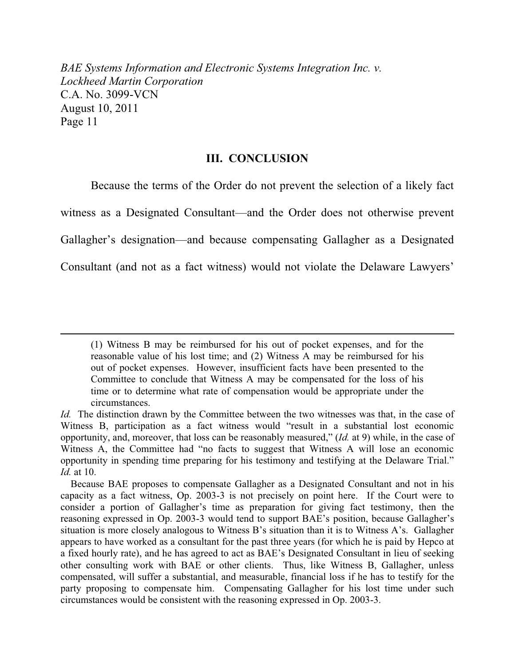## **III. CONCLUSION**

Because the terms of the Order do not prevent the selection of a likely fact witness as a Designated Consultant—and the Order does not otherwise prevent Gallagher's designation—and because compensating Gallagher as a Designated Consultant (and not as a fact witness) would not violate the Delaware Lawyers'

<sup>(1)</sup> Witness B may be reimbursed for his out of pocket expenses, and for the reasonable value of his lost time; and (2) Witness A may be reimbursed for his out of pocket expenses. However, insufficient facts have been presented to the Committee to conclude that Witness A may be compensated for the loss of his time or to determine what rate of compensation would be appropriate under the circumstances.

*Id.* The distinction drawn by the Committee between the two witnesses was that, in the case of Witness B, participation as a fact witness would "result in a substantial lost economic opportunity, and, moreover, that loss can be reasonably measured," (*Id.* at 9) while, in the case of Witness A, the Committee had "no facts to suggest that Witness A will lose an economic opportunity in spending time preparing for his testimony and testifying at the Delaware Trial." *Id.* at 10.

Because BAE proposes to compensate Gallagher as a Designated Consultant and not in his capacity as a fact witness, Op. 2003-3 is not precisely on point here. If the Court were to consider a portion of Gallagher's time as preparation for giving fact testimony, then the reasoning expressed in Op. 2003-3 would tend to support BAE's position, because Gallagher's situation is more closely analogous to Witness B's situation than it is to Witness A's. Gallagher appears to have worked as a consultant for the past three years (for which he is paid by Hepco at a fixed hourly rate), and he has agreed to act as BAE's Designated Consultant in lieu of seeking other consulting work with BAE or other clients. Thus, like Witness B, Gallagher, unless compensated, will suffer a substantial, and measurable, financial loss if he has to testify for the party proposing to compensate him. Compensating Gallagher for his lost time under such circumstances would be consistent with the reasoning expressed in Op. 2003-3.